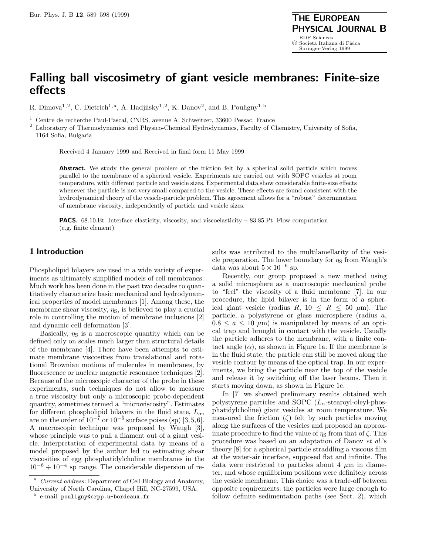# **Falling ball viscosimetry of giant vesicle membranes: Finite-size effects**

R. Dimova<sup>1,2</sup>, C. Dietrich<sup>1,a</sup>, A. Hadjiisky<sup>1,2</sup>, K. Danov<sup>2</sup>, and B. Pouligny<sup>1,b</sup>

<sup>1</sup> Centre de recherche Paul-Pascal, CNRS, avenue A. Schweitzer, 33600 Pessac, France

<sup>2</sup> Laboratory of Thermodynamics and Physico-Chemical Hydrodynamics, Faculty of Chemistry, University of Sofia, 1164 Sofia, Bulgaria

Received 4 January 1999 and Received in final form 11 May 1999

**Abstract.** We study the general problem of the friction felt by a spherical solid particle which moves parallel to the membrane of a spherical vesicle. Experiments are carried out with SOPC vesicles at room temperature, with different particle and vesicle sizes. Experimental data show considerable finite-size effects whenever the particle is not very small compared to the vesicle. These effects are found consistent with the hydrodynamical theory of the vesicle-particle problem. This agreement allows for a "robust" determination of membrane viscosity, independently of particle and vesicle sizes.

**PACS.** 68.10.Et Interface elasticity, viscosity, and viscoelasticity – 83.85.Pt Flow computation (e.g. finite element)

## **1 Introduction**

Phospholipid bilayers are used in a wide variety of experiments as ultimately simplified models of cell membranes. Much work has been done in the past two decades to quantitatively characterize basic mechanical and hydrodynamical properties of model membranes [1]. Among these, the membrane shear viscosity,  $\eta_s$ , is believed to play a crucial role in controlling the motion of membrane inclusions [2] and dynamic cell deformation [3].

Basically,  $\eta_s$  is a macroscopic quantity which can be defined only on scales much larger than structural details of the membrane [4]. There have been attempts to estimate membrane viscosities from translational and rotational Brownian motions of molecules in membranes, by fluorescence or nuclear magnetic resonance techniques [2]. Because of the microscopic character of the probe in these experiments, such techniques do not allow to measure a true viscosity but only a microscopic probe-dependent quantity, sometimes termed a "microviscosity". Estimates for different phospholipid bilayers in the fluid state,  $L_{\alpha}$ , are on the order of  $10^{-7}$  or  $10^{-6}$  surface poises (sp) [3,5,6]. A macroscopic technique was proposed by Waugh [3], whose principle was to pull a filament out of a giant vesicle. Interpretation of experimental data by means of a model proposed by the author led to estimating shear viscosities of egg phosphatidylcholine membranes in the  $10^{-6} \div 10^{-4}$  sp range. The considerable dispersion of results was attributed to the multilamellarity of the vesicle preparation. The lower boundary for  $\eta_s$  from Waugh's data was about  $5 \times 10^{-6}$  sp.

Recently, our group proposed a new method using a solid microsphere as a macroscopic mechanical probe to "feel" the viscosity of a fluid membrane [7]. In our procedure, the lipid bilayer is in the form of a spherical giant vesicle (radius R,  $10 \le R \le 50 \ \mu m$ ). The particle, a polystyrene or glass microsphere (radius a,  $0.8 \le a \le 10 \mu m$  is manipulated by means of an optical trap and brought in contact with the vesicle. Usually the particle adheres to the membrane, with a finite contact angle  $(\alpha)$ , as shown in Figure 1a. If the membrane is in the fluid state, the particle can still be moved along the vesicle contour by means of the optical trap. In our experiments, we bring the particle near the top of the vesicle and release it by switching off the laser beams. Then it starts moving down, as shown in Figure 1c.

In [7] we showed preliminary results obtained with polystyrene particles and SOPC  $(L_{\alpha}$ -stearoyl-oleyl-phosphatidylcholine) giant vesicles at room temperature. We measured the friction  $(\zeta)$  felt by such particles moving along the surfaces of the vesicles and proposed an approximate procedure to find the value of  $\eta_s$  from that of  $\zeta$ . This procedure was based on an adaptation of Danov et al.'s theory [8] for a spherical particle straddling a viscous film at the water-air interface, supposed flat and infinite. The data were restricted to particles about 4  $\mu$ m in diameter, and whose equilibrium positions were definitely across the vesicle membrane. This choice was a trade-off between opposite requirements: the particles were large enough to follow definite sedimentation paths (see Sect. 2), which

<sup>&</sup>lt;sup>a</sup> Current address: Department of Cell Biology and Anatomy, University of North Carolina, Chapel Hill, NC-27599, USA.

<sup>b</sup> e-mail: pouligny@crpp.u-bordeaux.fr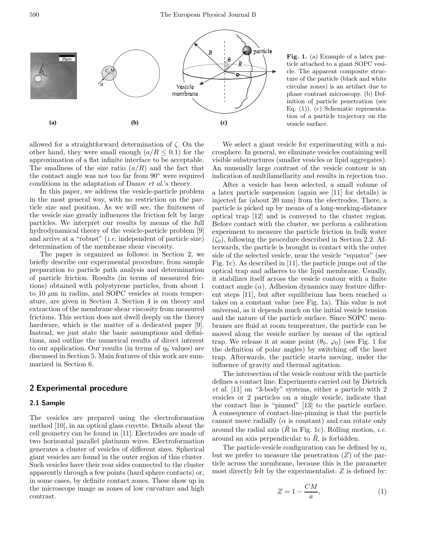590 The European Physical Journal B



allowed for a straightforward determination of  $\zeta$ . On the other hand, they were small enough  $(a/R \leq 0.1)$  for the approximation of a flat infinite interface to be acceptable. The smallness of the size ratio  $(a/R)$  and the fact that the contact angle was not too far from 90◦ were required conditions in the adaptation of Danov et al.'s theory.

In this paper, we address the vesicle-particle problem in the most general way, with no restriction on the particle size and position. As we will see, the finiteness of the vesicle size greatly influences the friction felt by large particles. We interpret our results by means of the full hydrodynamical theory of the vesicle-particle problem [9] and arrive at a "robust" (i.e. independent of particle size) determination of the membrane shear viscosity.

The paper is organized as follows: in Section 2, we briefly describe our experimental procedure, from sample preparation to particle path analysis and determination of particle friction. Results (in terms of measured frictions) obtained with polystyrene particles, from about 1 to 10  $\mu$ m in radius, and SOPC vesicles at room temperature, are given in Section 3. Section 4 is on theory and extraction of the membrane shear viscosity from measured frictions. This section does not dwell deeply on the theory hardware, which is the matter of a dedicated paper [9]. Instead, we just state the basic assumptions and definitions, and outline the numerical results of direct interest to our application. Our results (in terms of  $\eta_s$  values) are discussed in Section 5. Main features of this work are summarized in Section 6.

# **2 Experimental procedure**

#### **2.1 Sample**

The vesicles are prepared using the electroformation method [10], in an optical glass cuvette. Details about the cell geometry can be found in [11]. Electrodes are made of two horizontal parallel platinum wires. Electroformation generates a cluster of vesicles of different sizes. Spherical giant vesicles are found in the outer region of this cluster. Such vesicles have their rear sides connected to the cluster apparently through a few points (hard sphere contacts) or, in some cases, by definite contact zones. These show up in the microscope image as zones of low curvature and high contrast.

**Fig. 1.** (a) Example of a latex particle attached to a giant SOPC vesicle. The apparent composite structure of the particle (black and white circular zones) is an artifact due to phase contrast microscopy. (b) Definition of particle penetration (see Eq. (1)). (c) Schematic representation of a particle trajectory on the vesicle surface.

We select a giant vesicle for experimenting with a microsphere. In general, we eliminate vesicles containing well visible substructures (smaller vesicles or lipid aggregates). An unusually large contrast of the vesicle contour is an indication of multilamellarity and results in rejection too.

After a vesicle has been selected, a small volume of a latex particle suspension (again see [11] for details) is injected far (about 20 mm) from the electrodes. There, a particle is picked up by means of a long-working-distance optical trap [12] and is conveyed to the cluster region. Before contact with the cluster, we perform a calibration experiment to measure the particle friction in bulk water  $(\zeta_0)$ , following the procedure described in Section 2.2. Afterwards, the particle is brought in contact with the outer side of the selected vesicle, near the vesicle "equator" (see Fig. 1c). As described in [11], the particle jumps out of the optical trap and adheres to the lipid membrane. Usually, it stabilizes itself across the vesicle contour with a finite contact angle  $(\alpha)$ . Adhesion dynamics may feature different steps [11], but after equilibrium has been reached  $\alpha$ takes on a constant value (see Fig. 1a). This value is not universal, as it depends much on the initial vesicle tension and the nature of the particle surface. Since SOPC membranes are fluid at room temperature, the particle can be moved along the vesicle surface by means of the optical trap. We release it at some point  $(\theta_0, \varphi_0)$  (see Fig. 1 for the definition of polar angles) by switching off the laser trap. Afterwards, the particle starts moving, under the influence of gravity and thermal agitation.

The intersection of the vesicle contour with the particle defines a contact line. Experiments carried out by Dietrich et al. [11] on "3-body" systems, either a particle with 2 vesicles or 2 particles on a single vesicle, indicate that the contact line is "pinned" [13] to the particle surface. A consequence of contact-line-pinning is that the particle cannot move radially ( $\alpha$  is constant) and can rotate only around the radial axis  $(R$  in Fig. 1c). Rolling motion, *i.e.* around an axis perpendicular to  $\tilde{R}$ , is forbidden.

The particle-vesicle configuration can be defined by  $\alpha$ , but we prefer to measure the penetration  $(Z)$  of the particle across the membrane, because this is the parameter most directly felt by the experimentalist. Z is defined by:

$$
Z = 1 - \frac{CM}{a},\tag{1}
$$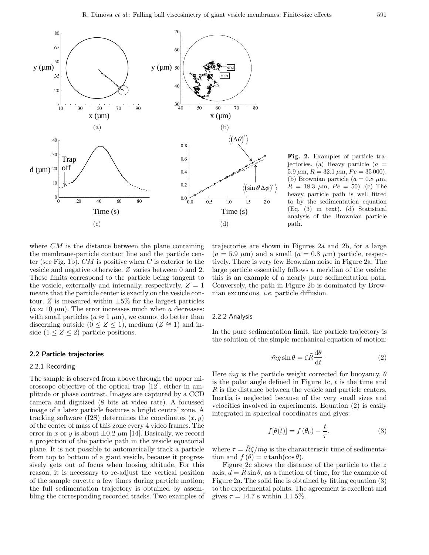

**Fig. 2.** Examples of particle trajectories. (a) Heavy particle  $(a =$  $5.9 \ \mu \text{m}, R = 32.1 \ \mu \text{m}, Pe = 35 \ 000$ . (b) Brownian particle ( $a = 0.8 \mu$ m,  $R = 18.3 \mu \text{m}$ ,  $Pe = 50$ ). (c) The heavy particle path is well fitted to by the sedimentation equation (Eq. (3) in text). (d) Statistical analysis of the Brownian particle path.

where  $CM$  is the distance between the plane containing the membrane-particle contact line and the particle center (see Fig. 1b).  $CM$  is positive when C is exterior to the vesicle and negative otherwise. Z varies between 0 and 2. These limits correspond to the particle being tangent to the vesicle, externally and internally, respectively.  $Z = 1$ means that the particle center is exactly on the vesicle contour. Z is measured within  $\pm 5\%$  for the largest particles  $(a \approx 10 \mu m)$ . The error increases much when a decreases: with small particles  $(a \approx 1 \ \mu\text{m})$ , we cannot do better than discerning outside  $(0 \le Z \le 1)$ , medium  $(Z \cong 1)$  and inside  $(1 \leq Z \leq 2)$  particle positions.

#### **2.2 Particle trajectories**

#### 2.2.1 Recording

The sample is observed from above through the upper microscope objective of the optical trap [12], either in amplitude or phase contrast. Images are captured by a CCD camera and digitized (8 bits at video rate). A focussed image of a latex particle features a bright central zone. A tracking software (I2S) determines the coordinates  $(x, y)$ of the center of mass of this zone every 4 video frames. The error in x or y is about  $\pm 0.2 \ \mu m$  [14]. Basically, we record a projection of the particle path in the vesicle equatorial plane. It is not possible to automatically track a particle from top to bottom of a giant vesicle, because it progressively gets out of focus when loosing altitude. For this reason, it is necessary to re-adjust the vertical position of the sample cuvette a few times during particle motion; the full sedimentation trajectory is obtained by assembling the corresponding recorded tracks. Two examples of

trajectories are shown in Figures 2a and 2b, for a large  $(a = 5.9 \mu m)$  and a small  $(a = 0.8 \mu m)$  particle, respectively. There is very few Brownian noise in Figure 2a. The large particle essentially follows a meridian of the vesicle: this is an example of a nearly pure sedimentation path. Conversely, the path in Figure 2b is dominated by Brownian excursions, i.e. particle diffusion.

## 2.2.2 Analysis

In the pure sedimentation limit, the particle trajectory is the solution of the simple mechanical equation of motion:

$$
\tilde{m}g\sin\theta = \zeta \tilde{R}\frac{\mathrm{d}\theta}{\mathrm{d}t} \,. \tag{2}
$$

Here  $\tilde{m}g$  is the particle weight corrected for buoyancy,  $\theta$ is the polar angle defined in Figure 1c,  $t$  is the time and  $R$  is the distance between the vesicle and particle centers. Inertia is neglected because of the very small sizes and velocities involved in experiments. Equation (2) is easily integrated in spherical coordinates and gives:

$$
f[\theta(t)] = f(\theta_0) - \frac{t}{\tau}, \qquad (3)
$$

where  $\tau = R\zeta/\tilde{m}g$  is the characteristic time of sedimentation and  $f(\theta) = a \tanh(\cos \theta)$ .

Figure 2c shows the distance of the particle to the z axis,  $d = R \sin \theta$ , as a function of time, for the example of Figure 2a. The solid line is obtained by fitting equation (3) to the experimental points. The agreement is excellent and gives  $\tau = 14.7$  s within  $\pm 1.5\%$ .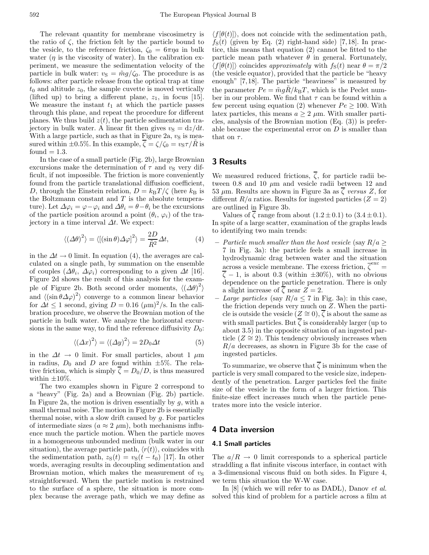The relevant quantity for membrane viscosimetry is the ratio of  $\zeta$ , the friction felt by the particle bound to the vesicle, to the reference friction,  $\zeta_0 = 6\pi\eta a$  in bulk water  $(\eta)$  is the viscosity of water). In the calibration experiment, we measure the sedimentation velocity of the particle in bulk water:  $v_{\rm S} = \tilde{m}g/\zeta_0$ . The procedure is as follows: after particle release from the optical trap at time  $t_0$  and altitude  $z_0$ , the sample cuvette is moved vertically (lifted up) to bring a different plane,  $z_1$ , in focus [15]. We measure the instant  $t_1$  at which the particle passes through this plane, and repeat the procedure for different planes. We thus build  $z(t)$ , the particle sedimentation trajectory in bulk water. A linear fit then gives  $v<sub>S</sub> = dz/dt$ . With a large particle, such as that in Figure 2a,  $v<sub>S</sub>$  is measured within  $\pm 0.5\%$ . In this example,  $\overline{\zeta} = \zeta/\zeta_0 = v_S \tau/\overline{R}$  is found  $= 1.3$ .

In the case of a small particle (Fig. 2b), large Brownian excursions make the determination of  $\tau$  and  $v_s$  very difficult, if not impossible. The friction is more conveniently found from the particle translational diffusion coefficient, D, through the Einstein relation,  $D = k_BT/\zeta$  (here  $k_B$  is the Boltzmann constant and  $T$  is the absolute temperature). Let  $\Delta\varphi_i = \varphi - \varphi_i$  and  $\Delta\theta_i = \theta - \theta_i$  be the excursions of the particle position around a point  $(\theta_i, \varphi_i)$  of the trajectory in a time interval  $\Delta t$ . We expect:

$$
\langle (\Delta \theta)^2 \rangle = \langle [(\sin \theta) \Delta \varphi]^2 \rangle = \frac{2D}{\tilde{R}^2} \Delta t,\tag{4}
$$

in the  $\Delta t \rightarrow 0$  limit. In equation (4), the averages are calculated on a single path, by summation on the ensemble of couples  $(\Delta \theta_i, \Delta \varphi_i)$  corresponding to a given  $\Delta t$  [16]. Figure 2d shows the result of this analysis for the example of Figure 2b. Both second order moments,  $\langle (\Delta \theta)^2 \rangle$ and  $\langle (\sin \theta \Delta \varphi)^2 \rangle$  converge to a common linear behavior for  $\Delta t \leq 1$  second, giving  $D = 0.16 \ (\mu \text{m})^2/\text{s}$ . In the calibration procedure, we observe the Brownian motion of the particle in bulk water. We analyze the horizontal excursions in the same way, to find the reference diffusivity  $D_0$ :

$$
\langle (\Delta x)^2 \rangle = \langle (\Delta y)^2 \rangle = 2D_0 \Delta t \tag{5}
$$

in the  $\Delta t \rightarrow 0$  limit. For small particles, about 1  $\mu$ m in radius,  $D_0$  and D are found within  $\pm 5\%$ . The relative friction, which is simply  $\zeta = D_0/D$ , is thus measured within  $\pm 10\%$ .

The two examples shown in Figure 2 correspond to a "heavy" (Fig. 2a) and a Brownian (Fig. 2b) particle. In Figure 2a, the motion is driven essentially by  $q$ , with a small thermal noise. The motion in Figure 2b is essentially thermal noise, with a slow drift caused by g. For particles of intermediate sizes ( $a \approx 2 \mu m$ ), both mechanisms influence much the particle motion. When the particle moves in a homogeneous unbounded medium (bulk water in our situation), the average particle path,  $\langle r(t) \rangle$ , coincides with the sedimentation path,  $z_S(t) = v_S(t - t_0)$  [17]. In other words, averaging results in decoupling sedimentation and Brownian motion, which makes the measurement of  $v<sub>S</sub>$ straightforward. When the particle motion is restrained to the surface of a sphere, the situation is more complex because the average path, which we may define as

 $\langle f[\theta(t)]\rangle$ , does not coincide with the sedimentation path,  $f_{\rm S}(t)$  (given by Eq. (2) right-hand side) [7,18]. In practice, this means that equation (2) cannot be fitted to the particle mean path whatever  $\theta$  in general. Fortunately,  $\langle f|\theta(t)|\rangle$  coincides approximately with  $f_{\rm S}(t)$  near  $\theta = \pi/2$ (the vesicle equator), provided that the particle be "heavy enough" [7,18]. The particle "heaviness" is measured by the parameter  $Pe = \tilde{m} g R / k_{\rm B} T$ , which is the Peclet number in our problem. We find that  $\tau$  can be found within a few percent using equation (2) whenever  $Pe \ge 100$ . With latex particles, this means  $a \geq 2 \mu$ m. With smaller particles, analysis of the Brownian motion (Eq. (3)) is preferable because the experimental error on  $D$  is smaller than that on  $\tau$ .

## **3 Results**

We measured reduced frictions,  $\overline{\zeta}$ , for particle radii between 0.8 and 10  $\mu$ m and vesicle radii between 12 and 53  $\mu$ m. Results are shown in Figure 3a as  $\zeta$  versus Z, for different  $R/a$  ratios. Results for ingested particles  $(Z = 2)$ are outlined in Figure 3b.

Values of  $\overline{\zeta}$  range from about  $(1.2 \pm 0.1)$  to  $(3.4 \pm 0.1)$ . In spite of a large scatter, examination of the graphs leads to identifying two main trends:

- **–** Particle much smaller than the host vesicle (say R/a ≥ 7 in Fig. 3a): the particle feels a small increase in hydrodynamic drag between water and the situation across a vesicle membrane. The excess friction,  $\overline{\zeta}^{\text{exc}} =$  $\overline{\zeta}$  – 1, is about 0.3 (within  $\pm 30\%$ ), with no obvious dependence on the particle penetration. There is only a slight increase of  $\overline{\zeta}$  near  $Z = 2$ .
- *Large particles* (say  $R/a \leq 7$  in Fig. 3a): in this case, the friction depends very much on Z. When the particle is outside the vesicle  $(Z \cong 0), \overline{\zeta}$  is about the same as with small particles. But  $\overline{\zeta}$  is considerably larger (up to about 3.5) in the opposite situation of an ingested particle  $(Z \cong 2)$ . This tendency obviously increases when  $R/a$  decreases, as shown in Figure 3b for the case of ingested particles.

To summarize, we observe that  $\overline{\zeta}$  is minimum when the particle is very small compared to the vesicle size, independently of the penetration. Larger particles feel the finite size of the vesicle in the form of a larger friction. This finite-size effect increases much when the particle penetrates more into the vesicle interior.

## **4 Data inversion**

#### **4.1 Small particles**

The  $a/R \rightarrow 0$  limit corresponds to a spherical particle straddling a flat infinite viscous interface, in contact with a 3-dimensional viscous fluid on both sides. In Figure 4, we term this situation the W-W case.

In [8] (which we will refer to as DADL), Danov *et al.* solved this kind of problem for a particle across a film at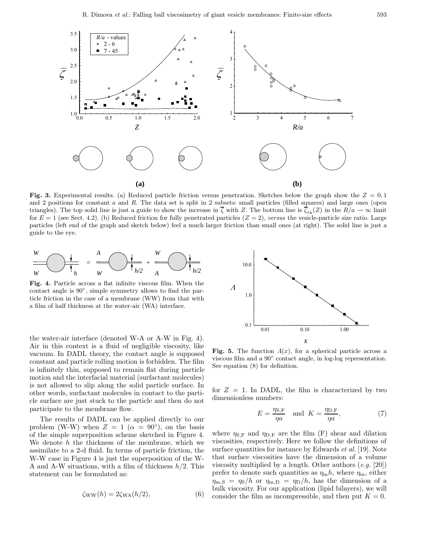

**Fig. 3.** Experimental results. (a) Reduced particle friction versus penetration. Sketches below the graph show the  $Z = 0.1$ and 2 positions for constant  $a$  and  $R$ . The data set is split in 2 subsets: small particles (filled squares) and large ones (open triangles). The top solid line is just a guide to show the increase in  $\overline{\zeta}$  with Z. The bottom line is  $\overline{\zeta}_{\text{th}}(Z)$  in the  $R/a \to \infty$  limit for  $E = 1$  (see Sect. 4.2). (b) Reduced friction for fully penetrated particles  $(Z = 2)$ , versus the vesicle-particle size ratio. Large particles (left end of the graph and sketch below) feel a much larger friction than small ones (at right). The solid line is just a guide to the eye.



**Fig. 4.** Particle across a flat infinite viscous film. When the contact angle is 90◦, simple symmetry allows to find the particle friction in the case of a membrane (WW) from that with a film of half thickness at the water-air (WA) interface.

the water-air interface (denoted W-A or A-W in Fig. 4). Air in this context is a fluid of negligible viscosity, like vacuum. In DADL theory, the contact angle is supposed constant and particle rolling motion is forbidden. The film is infinitely thin, supposed to remain flat during particle motion and the interfacial material (surfactant molecules) is not allowed to slip along the solid particle surface. In other words, surfactant molecules in contact to the particle surface are just stuck to the particle and then do not participate to the membrane flow.

The results of DADL can be applied directly to our problem (W-W) when  $Z = 1$  ( $\alpha = 90°$ ), on the basis of the simple superposition scheme sketched in Figure 4. We denote  $h$  the thickness of the membrane, which we assimilate to a 2-d fluid. In terms of particle friction, the W-W case in Figure 4 is just the superposition of the W-A and A-W situations, with a film of thickness  $h/2$ . This statement can be formulated as:

$$
\zeta_{\rm WW}(h) = 2\zeta_{\rm WA}(h/2),\tag{6}
$$



**Fig. 5.** The function  $\Lambda(x)$ , for a spherical particle across a viscous film and a 90◦ contact angle, in log-log representation. See equation (8) for definition.

for  $Z = 1$ . In DADL, the film is characterized by two dimensionless numbers:

$$
E = \frac{\eta_{\text{S,F}}}{\eta a} \quad \text{and} \quad K = \frac{\eta_{\text{D,F}}}{\eta a},\tag{7}
$$

where  $\eta_{S,F}$  and  $\eta_{D,F}$  are the film (F) shear and dilation viscosities, respectively. Here we follow the definitions of surface quantities for instance by Edwards et al. [19]. Note that surface viscosities have the dimension of a volume viscosity multiplied by a length. Other authors  $(e.g. [20])$ prefer to denote such quantities as  $\eta_{\rm m}h$ , where  $\eta_{\rm m}$ , either  $\eta_{\rm m,S} = \eta_{\rm S}/h$  or  $\eta_{\rm m,D} = \eta_{\rm D}/h$ , has the dimension of a bulk viscosity. For our application (lipid bilayers), we will consider the film as incompressible, and then put  $K = 0$ .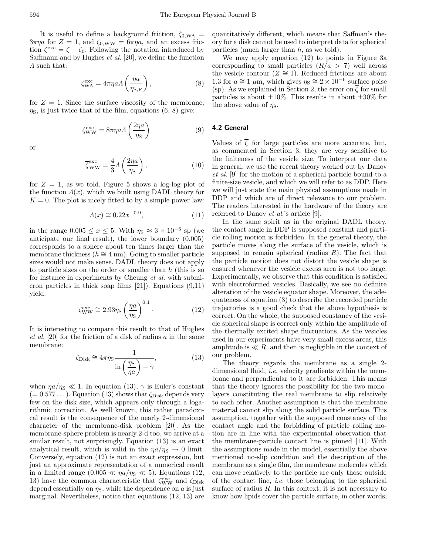It is useful to define a background friction,  $\zeta_{0,WA}$  =  $3\pi\eta a$  for  $Z = 1$ , and  $\zeta_{0,WW} = 6\pi\eta a$ , and an excess friction  $\zeta^{\text{exc}} = \zeta - \zeta_0$ . Following the notation introduced by Saffmann and by Hughes et al. [20], we define the function  $\Lambda$  such that:

$$
\zeta_{\text{WA}}^{\text{exc}} = 4\pi \eta a \Lambda \left(\frac{\eta a}{\eta_{\text{S,F}}}\right),\tag{8}
$$

for  $Z = 1$ . Since the surface viscosity of the membrane,  $\eta$ <sub>S</sub>, is just twice that of the film, equations (6, 8) give:

$$
\zeta_{WW}^{\text{exc}} = 8\pi \eta a \Lambda \left(\frac{2\eta a}{\eta s}\right) \tag{9}
$$

or

$$
\overline{\zeta}_{WW}^{\text{exc}} = \frac{4}{3} A \left( \frac{2\eta a}{\eta_{\text{S}}} \right),\tag{10}
$$

for  $Z = 1$ , as we told. Figure 5 shows a log-log plot of the function  $\Lambda(x)$ , which we built using DADL theory for  $K = 0$ . The plot is nicely fitted to by a simple power law:

$$
A(x) \cong 0.22x^{-0.9},\tag{11}
$$

in the range  $0.005 \leq x \leq 5$ . With  $\eta_s \approx 3 \times 10^{-6}$  sp (we anticipate our final result), the lower boundary (0.005) corresponds to a sphere about ten times larger than the membrane thickness ( $h \approx 4$  nm). Going to smaller particle sizes would not make sense. DADL theory does not apply to particle sizes on the order or smaller than  $h$  (this is so for instance in experiments by Cheung et al. with submicron particles in thick soap films [21]). Equations (9,11) yield:

$$
\zeta_{\text{WW}}^{\text{exc}} \cong 2.93 \eta_{\text{S}} \left(\frac{\eta a}{\eta_{\text{S}}}\right)^{0.1} . \tag{12}
$$

It is interesting to compare this result to that of Hughes et al. [20] for the friction of a disk of radius a in the same membrane:

$$
\zeta_{\text{Disk}} \cong 4\pi\eta_{\text{S}} \frac{1}{\ln\left(\frac{\eta_{\text{S}}}{\eta a}\right) - \gamma},\tag{13}
$$

when  $\eta a/\eta_s \ll 1$ . In equation (13),  $\gamma$  is Euler's constant  $(= 0.577...).$  Equation (13) shows that  $\zeta_{\text{Disk}}$  depends very few on the disk size, which appears only through a logarithmic correction. As well known, this rather paradoxical result is the consequence of the nearly 2-dimensional character of the membrane-disk problem [20]. As the membrane-sphere problem is nearly 2-d too, we arrive at a similar result, not surprisingly. Equation (13) is an exact analytical result, which is valid in the  $\eta a/\eta_s \to 0$  limit. Conversely, equation (12) is not an exact expression, but just an approximate representation of a numerical result in a limited range  $(0.005 \ll \eta a/\eta_s \ll 5)$ . Equations (12, 13) have the common characteristic that  $\zeta_{WW}^{\rm exc}$  and  $\zeta_{\rm Disk}$ depend essentially on  $\eta_s$ , while the dependence on a is just marginal. Nevertheless, notice that equations (12, 13) are

quantitatively different, which means that Saffman's theory for a disk cannot be used to interpret data for spherical particles (much larger than  $h$ , as we told).

We may apply equation (12) to points in Figure 3a corresponding to small particles  $(R/a > 7)$  well across the vesicle contour ( $Z \cong 1$ ). Reduced frictions are about 1.3 for  $a \approx 1 \mu \text{m}$ , which gives  $\eta_s \approx 2 \times 10^{-6}$  surface poise (sp). As we explained in Section 2, the error on  $\overline{\zeta}$  for small particles is about  $\pm 10\%$ . This results in about  $\pm 30\%$  for the above value of  $\eta_s$ .

# **4.2 General**

Values of  $\overline{\zeta}$  for large particles are more accurate, but, as commented in Section 3, they are very sensitive to the finiteness of the vesicle size. To interpret our data in general, we use the recent theory worked out by Danov et al. [9] for the motion of a spherical particle bound to a finite-size vesicle, and which we will refer to as DDP. Here we will just state the main physical assumptions made in DDP and which are of direct relevance to our problem. The readers interested in the hardware of the theory are referred to Danov et al.'s article [9].

In the same spirit as in the original DADL theory, the contact angle in DDP is supposed constant and particle rolling motion is forbidden. In the general theory, the particle moves along the surface of the vesicle, which is supposed to remain spherical (radius  $R$ ). The fact that the particle motion does not distort the vesicle shape is ensured whenever the vesicle excess area is not too large. Experimentally, we observe that this condition is satisfied with electroformed vesicles. Basically, we see no definite alteration of the vesicle equator shape. Moreover, the adequateness of equation (3) to describe the recorded particle trajectories is a good check that the above hypothesis is correct. On the whole, the supposed constancy of the vesicle spherical shape is correct only within the amplitude of the thermally excited shape fluctuations. As the vesicles used in our experiments have very small excess areas, this amplitude is  $\ll R$ , and then is negligible in the context of our problem.

The theory regards the membrane as a single 2 dimensional fluid, i.e. velocity gradients within the membrane and perpendicular to it are forbidden. This means that the theory ignores the possibility for the two monolayers constituting the real membrane to slip relatively to each other. Another assumption is that the membrane material cannot slip along the solid particle surface. This assumption, together with the supposed constancy of the contact angle and the forbidding of particle rolling motion are in line with the experimental observation that the membrane-particle contact line is pinned [11]. With the assumptions made in the model, essentially the above mentioned no-slip condition and the description of the membrane as a single film, the membrane molecules which can move relatively to the particle are only those outside of the contact line, i.e. those belonging to the spherical surface of radius  $R$ . In this context, it is not necessary to know how lipids cover the particle surface, in other words,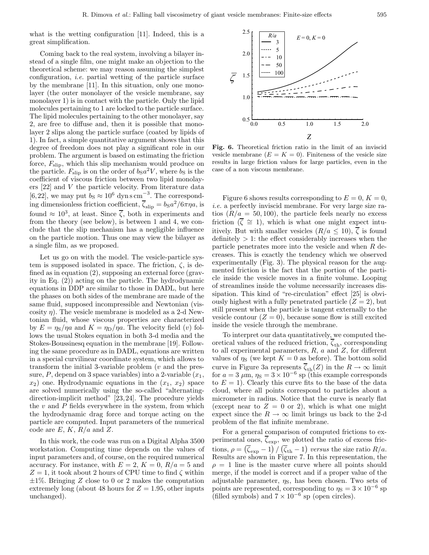what is the wetting configuration [11]. Indeed, this is a great simplification.

Coming back to the real system, involving a bilayer instead of a single film, one might make an objection to the theoretical scheme: we may reason assuming the simplest configuration, i.e. partial wetting of the particle surface by the membrane [11]. In this situation, only one monolayer (the outer monolayer of the vesicle membrane, say monolayer 1) is in contact with the particle. Only the lipid molecules pertaining to 1 are locked to the particle surface. The lipid molecules pertaining to the other monolayer, say 2, are free to diffuse and, then it is possible that monolayer 2 slips along the particle surface (coated by lipids of 1). In fact, a simple quantitative argument shows that this degree of freedom does not play a significant role in our problem. The argument is based on estimating the friction force,  $F_{\text{slip}}$ , which this slip mechanism would produce on the particle.  $F_{\text{slip}}$  is on the order of  $b_{\text{S}}a^2V$ , where  $b_{\text{S}}$  is the coefficient of viscous friction between two lipid monolayers [22] and V the particle velocity. From literature data [6,22], we may put  $b_S \approx 10^6$  dyns cm<sup>-3</sup>. The corresponding dimensionless friction coefficient,  $\overline{\zeta}_{\text{slip}} = b_{\text{S}}a^2/6\pi\eta a$ , is found  $\approx 10^3$ , at least. Since  $\overline{\zeta}$ , both in experiments and from the theory (see below), is between 1 and 4, we conclude that the slip mechanism has a negligible influence on the particle motion. Thus one may view the bilayer as a single film, as we proposed.

Let us go on with the model. The vesicle-particle system is supposed isolated in space. The friction,  $\zeta$ , is defined as in equation (2), supposing an external force (gravity in Eq. (2)) acting on the particle. The hydrodynamic equations in DDP are similar to those in DADL, but here the phases on both sides of the membrane are made of the same fluid, supposed incompressible and Newtonian (viscosity  $\eta$ ). The vesicle membrane is modeled as a 2-d Newtonian fluid, whose viscous properties are characterized by  $E = \eta_{\rm S}/\eta a$  and  $K = \eta_{\rm D}/\eta a$ . The velocity field (*v*) follows the usual Stokes equation in both 3-d media and the Stokes-Boussinesq equation in the membrane [19]. Following the same procedure as in DADL, equations are written in a special curvilinear coordinate system, which allows to transform the initial 3-variable problem  $(v$  and the pressure, P, depend on 3 space variables) into a 2-variable  $(x_1,$  $x_2$ ) one. Hydrodynamic equations in the  $(x_1, x_2)$  space are solved numerically using the so-called "alternatingdirection-implicit method" [23,24]. The procedure yields the  $v$  and  $P$  fields everywhere in the system, from which the hydrodynamic drag force and torque acting on the particle are computed. Input parameters of the numerical code are  $E, K, R/a$  and  $Z$ .

In this work, the code was run on a Digital Alpha 3500 workstation. Computing time depends on the values of input parameters and, of course, on the required numerical accuracy. For instance, with  $E = 2$ ,  $K = 0$ ,  $R/a = 5$  and  $Z = 1$ , it took about 2 hours of CPU time to find  $\zeta$  within  $\pm 1\%$ . Bringing Z close to 0 or 2 makes the computation extremely long (about 48 hours for  $Z = 1.95$ , other inputs unchanged).



**Fig. 6.** Theoretical friction ratio in the limit of an inviscid vesicle membrane  $(E = K = 0)$ . Finiteness of the vesicle size results in large friction values for large particles, even in the case of a non viscous membrane.

Figure 6 shows results corresponding to  $E = 0, K = 0$ , i.e. a perfectly inviscid membrane. For very large size ratios  $(R/a = 50, 100)$ , the particle feels nearly no excess friction ( $\overline{\zeta} \cong 1$ ), which is what one might expect intuitively. But with smaller vesicles  $(R/a \leq 10)$ ,  $\overline{\zeta}$  is found definitely  $> 1$ : the effect considerably increases when the particle penetrates more into the vesicle and when R decreases. This is exactly the tendency which we observed experimentally (Fig. 3). The physical reason for the augmented friction is the fact that the portion of the particle inside the vesicle moves in a finite volume. Looping of streamlines inside the volume necessarily increases dissipation. This kind of "re-circulation" effect [25] is obviously highest with a fully penetrated particle  $(Z = 2)$ , but still present when the particle is tangent externally to the vesicle contour  $(Z = 0)$ , because some flow is still excited inside the vesicle through the membrane.

To interpret our data quantitatively, we computed theoretical values of the reduced friction,  $\overline{\zeta}_{\text{th}}$ , corresponding to all experimental parameters,  $R$ ,  $a$  and  $Z$ , for different values of  $\eta_s$  (we kept  $K = 0$  as before). The bottom solid curve in Figure 3a represents  $\zeta_{\text{th}}(Z)$  in the  $R \to \infty$  limit for  $a = 3 \mu \text{m}$ ,  $\eta_{\text{S}} = 3 \times 10^{-6}$  sp (this example corresponds to  $E = 1$ ). Clearly this curve fits to the base of the data cloud, where all points correspond to particles about a micrometer in radius. Notice that the curve is nearly flat (except near to  $Z = 0$  or 2), which is what one might expect since the  $R \to \infty$  limit brings us back to the 2-d problem of the flat infinite membrane.

For a general comparison of computed frictions to experimental ones,  $\zeta_{\rm exp},$  we plotted the ratio of excess frictions,  $\rho = (\bar{\zeta}_{exp} - 1)/(\bar{\zeta}_{th} - 1)$  versus the size ratio  $R/a$ . Results are shown in Figure 7. In this representation, the  $\rho = 1$  line is the master curve where all points should merge, if the model is correct and if a proper value of the adjustable parameter,  $\eta_s$ , has been chosen. Two sets of points are represented, corresponding to  $\eta_s = 3 \times 10^{-6}$  sp (filled symbols) and  $7 \times 10^{-6}$  sp (open circles).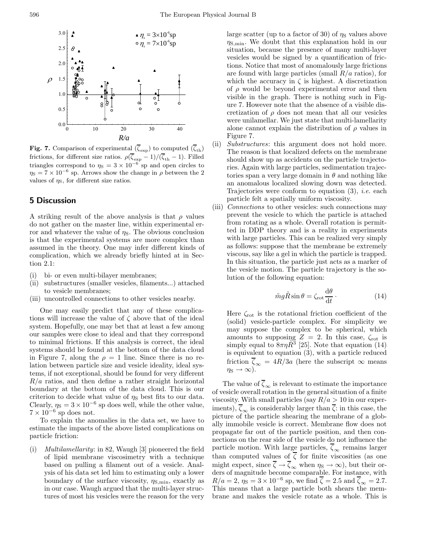

**Fig. 7.** Comparison of experimental  $(\overline{\zeta}_{exp})$  to computed  $(\overline{\zeta}_{th})$ frictions, for different size ratios.  $\rho(\overline{\zeta}_{exp} - 1)/(\overline{\zeta}_{th} - 1)$ . Filled triangles correspond to  $\eta_s = 3 \times 10^{-6}$  sp and open circles to  $\eta_{\rm S} = 7 \times 10^{-6}$  sp. Arrows show the change in  $\rho$  between the  $2$ values of  $\eta_s$ , for different size ratios.

# **5 Discussion**

A striking result of the above analysis is that  $\rho$  values do not gather on the master line, within experimental error and whatever the value of  $\eta_s$ . The obvious conclusion is that the experimental systems are more complex than assumed in the theory. One may infer different kinds of complication, which we already briefly hinted at in Section 2.1:

- (i) bi- or even multi-bilayer membranes;
- (ii) substructures (smaller vesicles, filaments...) attached to vesicle membranes;
- (iii) uncontrolled connections to other vesicles nearby.

One may easily predict that any of these complications will increase the value of  $\zeta$  above that of the ideal system. Hopefully, one may bet that at least a few among our samples were close to ideal and that they correspond to minimal frictions. If this analysis is correct, the ideal systems should be found at the bottom of the data cloud in Figure 7, along the  $\rho = 1$  line. Since there is no relation between particle size and vesicle ideality, ideal systems, if not exceptional, should be found for very different  $R/a$  ratios, and then define a rather straight horizontal boundary at the bottom of the data cloud. This is our criterion to decide what value of  $\eta_s$  best fits to our data. Clearly,  $\eta_s = 3 \times 10^{-6}$  sp does well, while the other value,  $7 \times 10^{-6}$  sp does not.

To explain the anomalies in the data set, we have to estimate the impacts of the above listed complications on particle friction:

(i) Multilamellarity: in 82, Waugh [3] pioneered the field of lipid membrane viscosimetry with a technique based on pulling a filament out of a vesicle. Analysis of his data set led him to estimating only a lower boundary of the surface viscosity,  $\eta_{\text{S,min}}$ , exactly as in our case. Waugh argued that the multi-layer structures of most his vesicles were the reason for the very large scatter (up to a factor of 30) of  $\eta_s$  values above  $\eta_{\rm S,min}$ . We doubt that this explanation hold in our situation, because the presence of many multi-layer vesicles would be signed by a quantification of frictions. Notice that most of anomalously large frictions are found with large particles (small  $R/a$  ratios), for which the accuracy in  $\zeta$  is highest. A discretization of  $\rho$  would be beyond experimental error and then visible in the graph. There is nothing such in Figure 7. However note that the absence of a visible discretization of  $\rho$  does not mean that all our vesicles were unilamellar. We just state that multi-lamellarity alone cannot explain the distribution of  $\rho$  values in Figure 7.

- (ii) Substructures: this argument does not hold more. The reason is that localized defects on the membrane should show up as accidents on the particle trajectories. Again with large particles, sedimentation trajectories span a very large domain in  $\theta$  and nothing like an anomalous localized slowing down was detected. Trajectories were conform to equation  $(3)$ , *i.e.* each particle felt a spatially uniform viscosity.
- (iii) Connections to other vesicles: such connections may prevent the vesicle to which the particle is attached from rotating as a whole. Overall rotation is permitted in DDP theory and is a reality in experiments with large particles. This can be realized very simply as follows: suppose that the membrane be extremely viscous, say like a gel in which the particle is trapped. In this situation, the particle just acts as a marker of the vesicle motion. The particle trajectory is the solution of the following equation:

$$
\tilde{m}g\tilde{R}\sin\theta = \zeta_{\rm rot}\frac{\mathrm{d}\theta}{\mathrm{d}t} \,. \tag{14}
$$

Here  $\zeta_{\rm rot}$  is the rotational friction coefficient of the (solid) vesicle-particle complex. For simplicity we may suppose the complex to be spherical, which amounts to supposing  $Z = 2$ . In this case,  $\zeta_{\text{rot}}$  is simply equal to  $8\pi\eta\tilde{R}^3$  [25]. Note that equation (14) is equivalent to equation (3), with a particle reduced friction  $\overline{\zeta}_{\infty} = 4R/3a$  (here the subscript  $\infty$  means  $\eta_{\rm S} \rightarrow \infty$ ).

The value of  $\overline{\zeta}_{\infty}$  is relevant to estimate the importance of vesicle overall rotation in the general situation of a finite viscosity. With small particles (say  $R/a > 10$  in our experiments),  $\overline{\zeta}_{\infty}$  is considerably larger than  $\overline{\zeta}$ : in this case, the picture of the particle shearing the membrane of a globally immobile vesicle is correct. Membrane flow does not propagate far out of the particle position, and then connections on the rear side of the vesicle do not influence the particle motion. With large particles,  $\overline{\zeta}_{\infty}$  remains larger than computed values of  $\overline{\zeta}$  for finite viscosities (as one might expect, since  $\overline{\zeta} \to \overline{\zeta}_{\infty}$  when  $\eta_{\rm S} \to \infty$ ), but their orders of magnitude become comparable. For instance, with  $R/a = 2$ ,  $\eta_s = 3 \times 10^{-6}$  sp, we find  $\overline{\zeta} = 2.5$  and  $\overline{\zeta}_{\infty} = 2.7$ . This means that a large particle both shears the membrane and makes the vesicle rotate as a whole. This is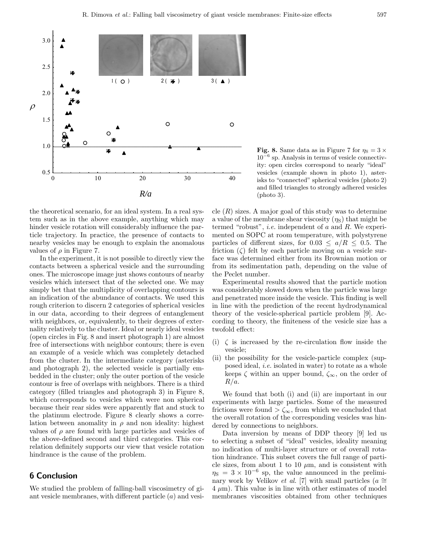

**Fig. 8.** Same data as in Figure 7 for  $\eta_s = 3 \times$  $10^{-6}$  sp. Analysis in terms of vesicle connectivity: open circles correspond to nearly "ideal" vesicles (example shown in photo 1), asterisks to "connected" spherical vesicles (photo 2) and filled triangles to strongly adhered vesicles (photo 3).

the theoretical scenario, for an ideal system. In a real system such as in the above example, anything which may hinder vesicle rotation will considerably influence the particle trajectory. In practice, the presence of contacts to nearby vesicles may be enough to explain the anomalous values of  $\rho$  in Figure 7.

In the experiment, it is not possible to directly view the contacts between a spherical vesicle and the surrounding ones. The microscope image just shows contours of nearby vesicles which intersect that of the selected one. We may simply bet that the multiplicity of overlapping contours is an indication of the abundance of contacts. We used this rough criterion to discern 2 categories of spherical vesicles in our data, according to their degrees of entanglement with neighbors, or, equivalently, to their degrees of externality relatively to the cluster. Ideal or nearly ideal vesicles (open circles in Fig. 8 and insert photograph 1) are almost free of intersections with neighbor contours; there is even an example of a vesicle which was completely detached from the cluster. In the intermediate category (asterisks and photograph 2), the selected vesicle is partially embedded in the cluster; only the outer portion of the vesicle contour is free of overlaps with neighbors. There is a third category (filled triangles and photograph 3) in Figure 8, which corresponds to vesicles which were non spherical because their rear sides were apparently flat and stuck to the platinum electrode. Figure 8 clearly shows a correlation between anomality in  $\rho$  and non ideality: highest values of  $\rho$  are found with large particles and vesicles of the above-defined second and third categories. This correlation definitely supports our view that vesicle rotation hindrance is the cause of the problem.

# **6 Conclusion**

We studied the problem of falling-ball viscosimetry of giant vesicle membranes, with different particle (a) and vesicle  $(R)$  sizes. A major goal of this study was to determine a value of the membrane shear viscosity  $(\eta_S)$  that might be termed "robust", i.e. independent of a and R. We experimented on SOPC at room temperature, with polystyrene particles of different sizes, for  $0.03 \le a/R \le 0.5$ . The friction  $(\zeta)$  felt by each particle moving on a vesicle surface was determined either from its Brownian motion or from its sedimentation path, depending on the value of the Peclet number.

Experimental results showed that the particle motion was considerably slowed down when the particle was large and penetrated more inside the vesicle. This finding is well in line with the prediction of the recent hydrodynamical theory of the vesicle-spherical particle problem [9]. According to theory, the finiteness of the vesicle size has a twofold effect:

- (i)  $\zeta$  is increased by the re-circulation flow inside the vesicle;
- (ii) the possibility for the vesicle-particle complex (supposed ideal, i.e. isolated in water) to rotate as a whole keeps  $\zeta$  within an upper bound,  $\zeta_{\infty}$ , on the order of  $R/a$ .

We found that both (i) and (ii) are important in our experiments with large particles. Some of the measured frictions were found  $\geq \zeta_{\infty}$ , from which we concluded that the overall rotation of the corresponding vesicles was hindered by connections to neighbors.

Data inversion by means of DDP theory [9] led us to selecting a subset of "ideal" vesicles, ideality meaning no indication of multi-layer structure or of overall rotation hindrance. This subset covers the full range of particle sizes, from about 1 to 10  $\mu$ m, and is consistent with  $\eta_{\rm S} = 3 \times 10^{-6}$  sp, the value announced in the preliminary work by Velikov *et al.* [7] with small particles ( $a \approx$  $4 \mu m$ ). This value is in line with other estimates of model membranes viscosities obtained from other techniques